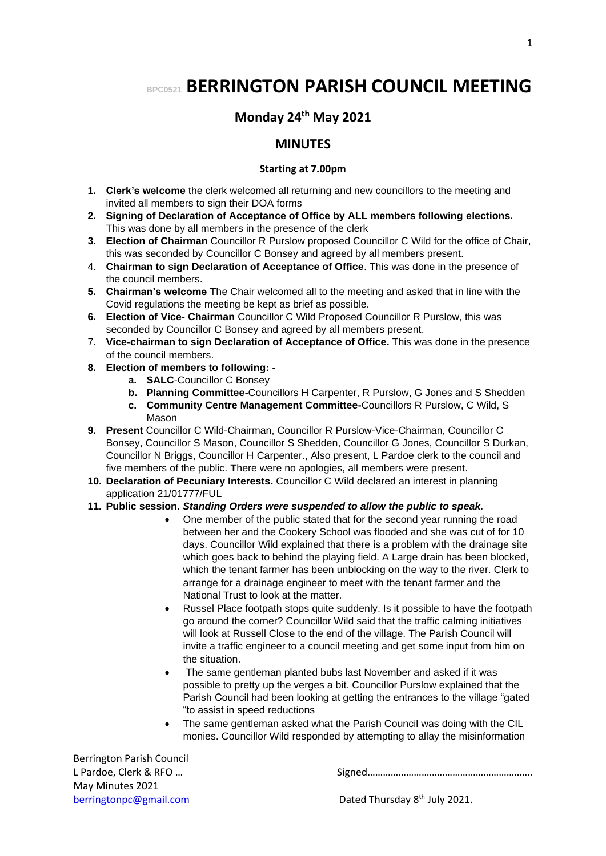# **BPC0521 BERRINGTON PARISH COUNCIL MEETING**

## **Monday 24 th May 2021**

### **MINUTES**

#### **Starting at 7.00pm**

- **1. Clerk's welcome** the clerk welcomed all returning and new councillors to the meeting and invited all members to sign their DOA forms
- **2. Signing of Declaration of Acceptance of Office by ALL members following elections.** This was done by all members in the presence of the clerk
- **3. Election of Chairman** Councillor R Purslow proposed Councillor C Wild for the office of Chair, this was seconded by Councillor C Bonsey and agreed by all members present.
- 4. **Chairman to sign Declaration of Acceptance of Office**. This was done in the presence of the council members.
- **5. Chairman's welcome** The Chair welcomed all to the meeting and asked that in line with the Covid regulations the meeting be kept as brief as possible.
- **6. Election of Vice- Chairman** Councillor C Wild Proposed Councillor R Purslow, this was seconded by Councillor C Bonsey and agreed by all members present.
- 7. **Vice-chairman to sign Declaration of Acceptance of Office.** This was done in the presence of the council members.
- **8. Election of members to following:** 
	- **a. SALC**-Councillor C Bonsey
	- **b. Planning Committee-**Councillors H Carpenter, R Purslow, G Jones and S Shedden
	- **c. Community Centre Management Committee-**Councillors R Purslow, C Wild, S Mason
- **9. Present** Councillor C Wild-Chairman, Councillor R Purslow-Vice-Chairman, Councillor C Bonsey, Councillor S Mason, Councillor S Shedden, Councillor G Jones, Councillor S Durkan, Councillor N Briggs, Councillor H Carpenter., Also present, L Pardoe clerk to the council and five members of the public. **T**here were no apologies, all members were present.
- **10. Declaration of Pecuniary Interests.** Councillor C Wild declared an interest in planning application 21/01777/FUL
- **11. Public session.** *Standing Orders were suspended to allow the public to speak.*
	- One member of the public stated that for the second year running the road between her and the Cookery School was flooded and she was cut of for 10 days. Councillor Wild explained that there is a problem with the drainage site which goes back to behind the playing field. A Large drain has been blocked, which the tenant farmer has been unblocking on the way to the river. Clerk to arrange for a drainage engineer to meet with the tenant farmer and the National Trust to look at the matter.
	- Russel Place footpath stops quite suddenly. Is it possible to have the footpath go around the corner? Councillor Wild said that the traffic calming initiatives will look at Russell Close to the end of the village. The Parish Council will invite a traffic engineer to a council meeting and get some input from him on the situation.
	- The same gentleman planted bubs last November and asked if it was possible to pretty up the verges a bit. Councillor Purslow explained that the Parish Council had been looking at getting the entrances to the village "gated "to assist in speed reductions
	- The same gentleman asked what the Parish Council was doing with the CIL monies. Councillor Wild responded by attempting to allay the misinformation

Berrington Parish Council May Minutes 2021

L Pardoe, Clerk & RFO ... **Example 20 and 20 and 20 and 20 and 31 and 31 and 31 and 31 and 31 and 31 and 31 and 31 and 31 and 31 and 31 and 31 and 31 and 31 and 31 and 31 and 31 and 31 and 31 and 31 and 31 and 31 and 31 an**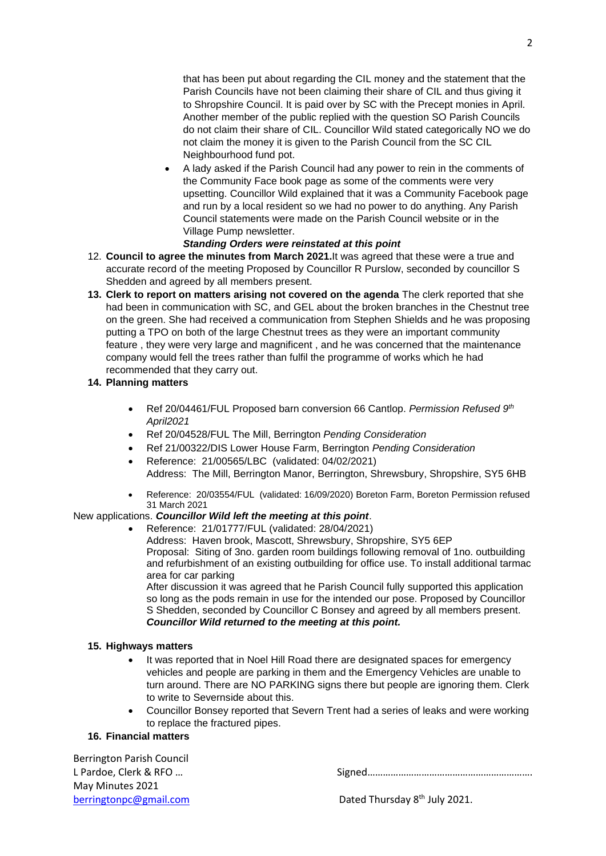that has been put about regarding the CIL money and the statement that the Parish Councils have not been claiming their share of CIL and thus giving it to Shropshire Council. It is paid over by SC with the Precept monies in April. Another member of the public replied with the question SO Parish Councils do not claim their share of CIL. Councillor Wild stated categorically NO we do not claim the money it is given to the Parish Council from the SC CIL Neighbourhood fund pot.

• A lady asked if the Parish Council had any power to rein in the comments of the Community Face book page as some of the comments were very upsetting. Councillor Wild explained that it was a Community Facebook page and run by a local resident so we had no power to do anything. Any Parish Council statements were made on the Parish Council website or in the Village Pump newsletter.

#### *Standing Orders were reinstated at this point*

- 12. **Council to agree the minutes from March 2021.**It was agreed that these were a true and accurate record of the meeting Proposed by Councillor R Purslow, seconded by councillor S Shedden and agreed by all members present.
- **13. Clerk to report on matters arising not covered on the agenda** The clerk reported that she had been in communication with SC, and GEL about the broken branches in the Chestnut tree on the green. She had received a communication from Stephen Shields and he was proposing putting a TPO on both of the large Chestnut trees as they were an important community feature , they were very large and magnificent , and he was concerned that the maintenance company would fell the trees rather than fulfil the programme of works which he had recommended that they carry out.

#### **14. Planning matters**

- Ref 20/04461/FUL Proposed barn conversion 66 Cantlop. *Permission Refused 9th April2021*
- Ref 20/04528/FUL The Mill, Berrington *Pending Consideration*
- Ref 21/00322/DIS Lower House Farm, Berrington *Pending Consideration*
- Reference: 21/00565/LBC (validated: 04/02/2021) Address: The Mill, Berrington Manor, Berrington, Shrewsbury, Shropshire, SY5 6HB
- Reference: 20/03554/FUL (validated: 16/09/2020) Boreton Farm, Boreton Permission refused 31 March 2021

#### New applications. *Councillor Wild left the meeting at this point*.

• Reference: 21/01777/FUL (validated: 28/04/2021) Address: Haven brook, Mascott, Shrewsbury, Shropshire, SY5 6EP Proposal: Siting of 3no. garden room buildings following removal of 1no. outbuilding and refurbishment of an existing outbuilding for office use. To install additional tarmac area for car parking After discussion it was agreed that he Parish Council fully supported this application so long as the pods remain in use for the intended our pose. Proposed by Councillor

S Shedden, seconded by Councillor C Bonsey and agreed by all members present. *Councillor Wild returned to the meeting at this point.*

#### **15. Highways matters**

- It was reported that in Noel Hill Road there are designated spaces for emergency vehicles and people are parking in them and the Emergency Vehicles are unable to turn around. There are NO PARKING signs there but people are ignoring them. Clerk to write to Severnside about this.
- Councillor Bonsey reported that Severn Trent had a series of leaks and were working to replace the fractured pipes.

#### **16. Financial matters**

Berrington Parish Council May Minutes 2021

L Pardoe, Clerk & RFO … Signed……………………………………………………….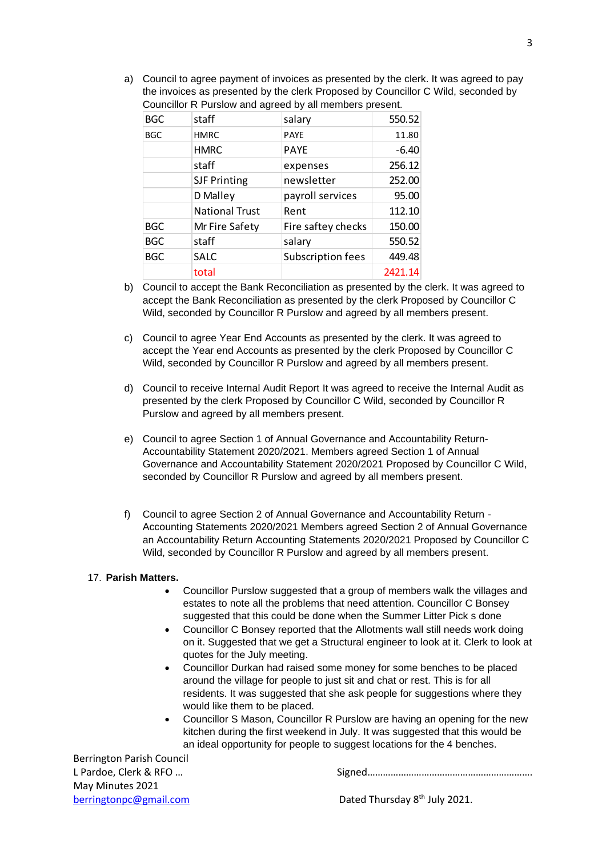a) Council to agree payment of invoices as presented by the clerk. It was agreed to pay the invoices as presented by the clerk Proposed by Councillor C Wild, seconded by Councillor R Purslow and agreed by all members present.

| <b>BGC</b> | staff                 | salary             | 550.52  |
|------------|-----------------------|--------------------|---------|
| <b>BGC</b> | <b>HMRC</b>           | <b>PAYE</b>        | 11.80   |
|            | <b>HMRC</b>           | <b>PAYE</b>        | $-6.40$ |
|            | staff                 | expenses           | 256.12  |
|            | <b>SJF Printing</b>   | newsletter         | 252.00  |
|            | D Malley              | payroll services   | 95.00   |
|            | <b>National Trust</b> | Rent               | 112.10  |
| <b>BGC</b> | Mr Fire Safety        | Fire saftey checks | 150.00  |
| <b>BGC</b> | staff                 | salary             | 550.52  |
| <b>BGC</b> | <b>SALC</b>           | Subscription fees  | 449.48  |
|            | total                 |                    | 2421.14 |

- b) Council to accept the Bank Reconciliation as presented by the clerk. It was agreed to accept the Bank Reconciliation as presented by the clerk Proposed by Councillor C Wild, seconded by Councillor R Purslow and agreed by all members present.
- c) Council to agree Year End Accounts as presented by the clerk. It was agreed to accept the Year end Accounts as presented by the clerk Proposed by Councillor C Wild, seconded by Councillor R Purslow and agreed by all members present.
- d) Council to receive Internal Audit Report It was agreed to receive the Internal Audit as presented by the clerk Proposed by Councillor C Wild, seconded by Councillor R Purslow and agreed by all members present.
- e) Council to agree Section 1 of Annual Governance and Accountability Return-Accountability Statement 2020/2021. Members agreed Section 1 of Annual Governance and Accountability Statement 2020/2021 Proposed by Councillor C Wild, seconded by Councillor R Purslow and agreed by all members present.
- f) Council to agree Section 2 of Annual Governance and Accountability Return Accounting Statements 2020/2021 Members agreed Section 2 of Annual Governance an Accountability Return Accounting Statements 2020/2021 Proposed by Councillor C Wild, seconded by Councillor R Purslow and agreed by all members present.

#### 17. **Parish Matters.**

- Councillor Purslow suggested that a group of members walk the villages and estates to note all the problems that need attention. Councillor C Bonsey suggested that this could be done when the Summer Litter Pick s done
- Councillor C Bonsey reported that the Allotments wall still needs work doing on it. Suggested that we get a Structural engineer to look at it. Clerk to look at quotes for the July meeting.
- Councillor Durkan had raised some money for some benches to be placed around the village for people to just sit and chat or rest. This is for all residents. It was suggested that she ask people for suggestions where they would like them to be placed.
- Councillor S Mason, Councillor R Purslow are having an opening for the new kitchen during the first weekend in July. It was suggested that this would be an ideal opportunity for people to suggest locations for the 4 benches.

Berrington Parish Council May Minutes 2021

L Pardoe, Clerk & RFO ... **Example 20 and 20 and 20 and 20 and 31 and 31 and 31 and 31 and 31 and 31 and 31 and 31 and 31 and 31 and 31 and 31 and 31 and 31 and 31 and 31 and 31 and 31 and 31 and 31 and 31 and 31 and 31 an**